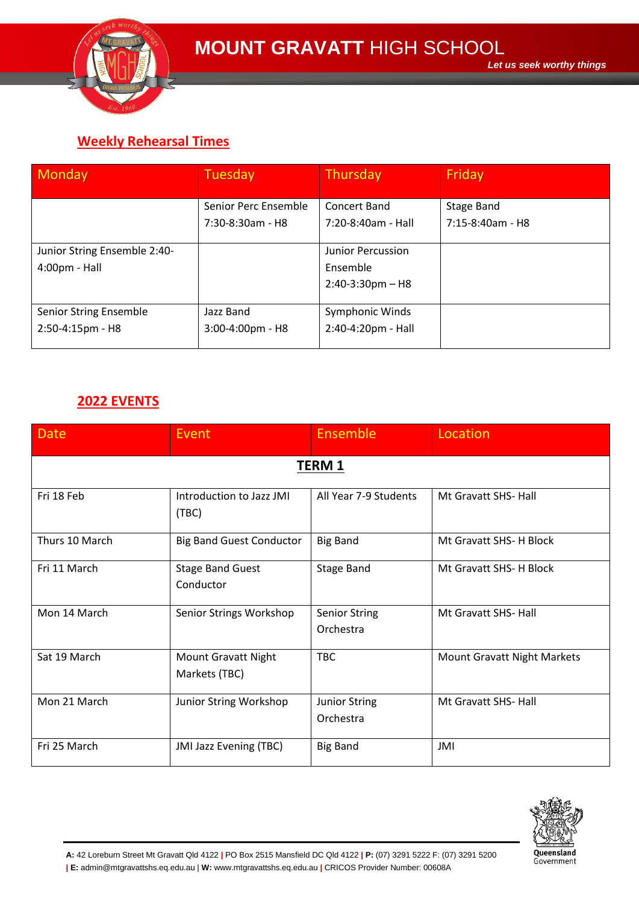

## **Weekly Rehearsal Times**

| Monday                       | Tuesday              | Thursday                 | Friday              |
|------------------------------|----------------------|--------------------------|---------------------|
|                              |                      |                          |                     |
|                              | Senior Perc Ensemble | Concert Band             | Stage Band          |
|                              | $7:30-8:30am - H8$   | 7:20-8:40am - Hall       | $7:15-8:40$ am - H8 |
|                              |                      |                          |                     |
| Junior String Ensemble 2:40- |                      | <b>Junior Percussion</b> |                     |
| $4:00 \text{pm}$ - Hall      |                      | Ensemble                 |                     |
|                              |                      | $2:40-3:30$ pm – H8      |                     |
|                              |                      |                          |                     |
| Senior String Ensemble       | Jazz Band            | Symphonic Winds          |                     |
| 2:50-4:15pm - H8             | 3:00-4:00pm - H8     | 2:40-4:20pm - Hall       |                     |
|                              |                      |                          |                     |

## **2022 EVENTS**

| <b>Date</b>    | Event                                       | Ensemble                          | Location                    |  |  |  |
|----------------|---------------------------------------------|-----------------------------------|-----------------------------|--|--|--|
| <b>TERM 1</b>  |                                             |                                   |                             |  |  |  |
| Fri 18 Feb     | Introduction to Jazz JMI<br>(TBC)           | All Year 7-9 Students             | Mt Gravatt SHS- Hall        |  |  |  |
| Thurs 10 March | <b>Big Band Guest Conductor</b>             | <b>Big Band</b>                   | Mt Gravatt SHS- H Block     |  |  |  |
| Fri 11 March   | <b>Stage Band Guest</b><br>Conductor        | <b>Stage Band</b>                 | Mt Gravatt SHS- H Block     |  |  |  |
| Mon 14 March   | Senior Strings Workshop                     | <b>Senior String</b><br>Orchestra | Mt Gravatt SHS- Hall        |  |  |  |
| Sat 19 March   | <b>Mount Gravatt Night</b><br>Markets (TBC) | <b>TBC</b>                        | Mount Gravatt Night Markets |  |  |  |
| Mon 21 March   | Junior String Workshop                      | <b>Junior String</b><br>Orchestra | Mt Gravatt SHS- Hall        |  |  |  |
| Fri 25 March   | JMI Jazz Evening (TBC)                      | <b>Big Band</b>                   | JMI                         |  |  |  |